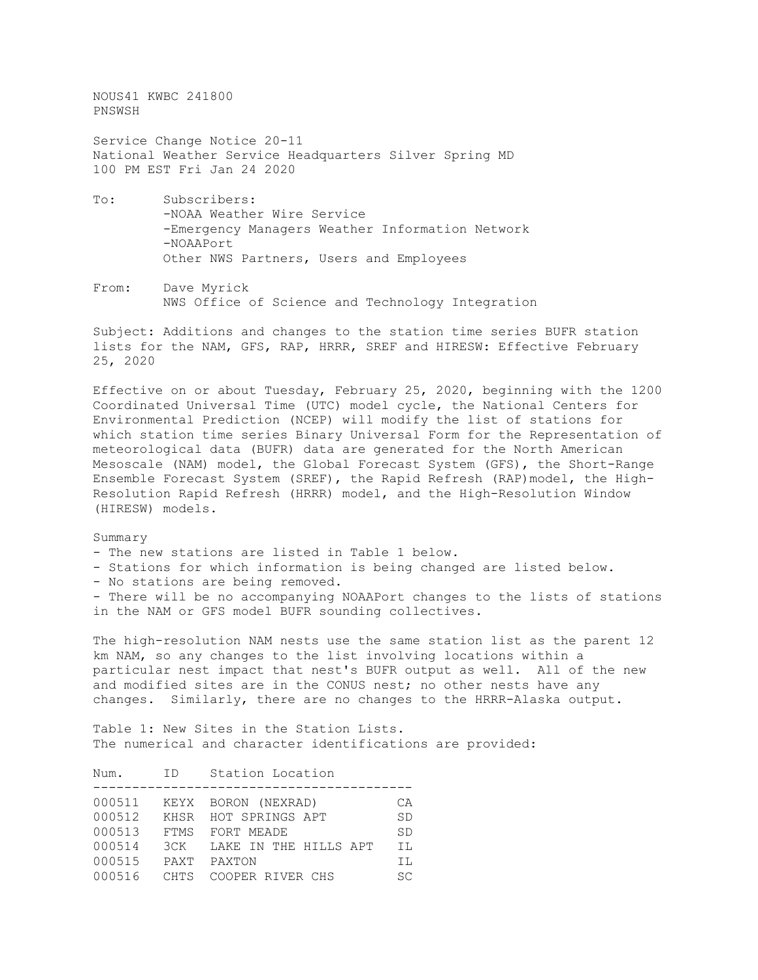NOUS41 KWBC 241800 PNSWSH

Service Change Notice 20-11 National Weather Service Headquarters Silver Spring MD 100 PM EST Fri Jan 24 2020

- To: Subscribers: -NOAA Weather Wire Service -Emergency Managers Weather Information Network -NOAAPort Other NWS Partners, Users and Employees
- From: Dave Myrick NWS Office of Science and Technology Integration

Subject: Additions and changes to the station time series BUFR station lists for the NAM, GFS, RAP, HRRR, SREF and HIRESW: Effective February 25, 2020

Effective on or about Tuesday, February 25, 2020, beginning with the 1200 Coordinated Universal Time (UTC) model cycle, the National Centers for Environmental Prediction (NCEP) will modify the list of stations for which station time series Binary Universal Form for the Representation of meteorological data (BUFR) data are generated for the North American Mesoscale (NAM) model, the Global Forecast System (GFS), the Short-Range Ensemble Forecast System (SREF), the Rapid Refresh (RAP)model, the High-Resolution Rapid Refresh (HRRR) model, and the High-Resolution Window (HIRESW) models.

Summary

- The new stations are listed in Table 1 below.
- Stations for which information is being changed are listed below.
- No stations are being removed.

- There will be no accompanying NOAAPort changes to the lists of stations in the NAM or GFS model BUFR sounding collectives.

The high-resolution NAM nests use the same station list as the parent 12 km NAM, so any changes to the list involving locations within a particular nest impact that nest's BUFR output as well. All of the new and modified sites are in the CONUS nest; no other nests have any changes. Similarly, there are no changes to the HRRR-Alaska output.

Table 1: New Sites in the Station Lists. The numerical and character identifications are provided:

| Num.   | ID          | Station Location      |           |
|--------|-------------|-----------------------|-----------|
| 000511 |             | KEYX BORON (NEXRAD)   | CA        |
| 000512 |             | KHSR HOT SPRINGS APT  | <b>SD</b> |
| 000513 | FTMS        | FORT MEADE            | <b>SD</b> |
| 000514 | ЗСК         | LAKE IN THE HILLS APT | IL        |
| 000515 | PAXT        | PAXTON                | ΙL        |
| 000516 | <b>CHTS</b> | COOPER RIVER CHS      | <b>SC</b> |
|        |             |                       |           |